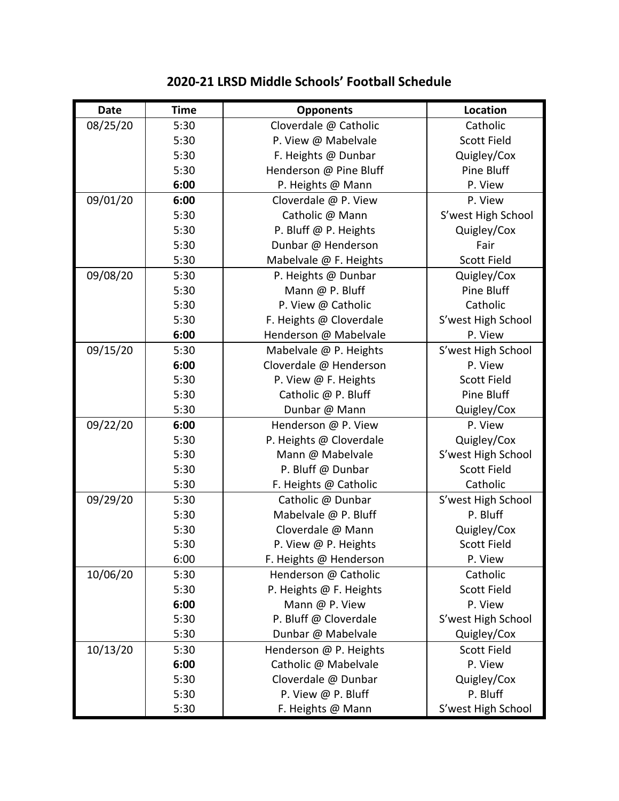| <b>Date</b> | <b>Time</b> | <b>Opponents</b>        | Location           |
|-------------|-------------|-------------------------|--------------------|
| 08/25/20    | 5:30        | Cloverdale @ Catholic   | Catholic           |
|             | 5:30        | P. View @ Mabelvale     | <b>Scott Field</b> |
|             | 5:30        | F. Heights @ Dunbar     | Quigley/Cox        |
|             | 5:30        | Henderson @ Pine Bluff  | Pine Bluff         |
|             | 6:00        | P. Heights @ Mann       | P. View            |
| 09/01/20    | 6:00        | Cloverdale @ P. View    | P. View            |
|             | 5:30        | Catholic @ Mann         | S'west High School |
|             | 5:30        | P. Bluff @ P. Heights   | Quigley/Cox        |
|             | 5:30        | Dunbar @ Henderson      | Fair               |
|             | 5:30        | Mabelvale @ F. Heights  | Scott Field        |
| 09/08/20    | 5:30        | P. Heights @ Dunbar     | Quigley/Cox        |
|             | 5:30        | Mann @ P. Bluff         | Pine Bluff         |
|             | 5:30        | P. View @ Catholic      | Catholic           |
|             | 5:30        | F. Heights @ Cloverdale | S'west High School |
|             | 6:00        | Henderson @ Mabelvale   | P. View            |
| 09/15/20    | 5:30        | Mabelvale @ P. Heights  | S'west High School |
|             | 6:00        | Cloverdale @ Henderson  | P. View            |
|             | 5:30        | P. View @ F. Heights    | <b>Scott Field</b> |
|             | 5:30        | Catholic @ P. Bluff     | Pine Bluff         |
|             | 5:30        | Dunbar @ Mann           | Quigley/Cox        |
| 09/22/20    | 6:00        | Henderson @ P. View     | P. View            |
|             | 5:30        | P. Heights @ Cloverdale | Quigley/Cox        |
|             | 5:30        | Mann @ Mabelvale        | S'west High School |
|             | 5:30        | P. Bluff @ Dunbar       | <b>Scott Field</b> |
|             | 5:30        | F. Heights @ Catholic   | Catholic           |
| 09/29/20    | 5:30        | Catholic @ Dunbar       | S'west High School |
|             | 5:30        | Mabelvale @ P. Bluff    | P. Bluff           |
|             | 5:30        | Cloverdale @ Mann       | Quigley/Cox        |
|             | 5:30        | P. View @ P. Heights    | <b>Scott Field</b> |
|             | 6:00        | F. Heights @ Henderson  | P. View            |
| 10/06/20    | 5:30        | Henderson @ Catholic    | Catholic           |
|             | 5:30        | P. Heights @ F. Heights | <b>Scott Field</b> |
|             | 6:00        | Mann @ P. View          | P. View            |
|             | 5:30        | P. Bluff @ Cloverdale   | S'west High School |
|             | 5:30        | Dunbar @ Mabelvale      | Quigley/Cox        |
| 10/13/20    | 5:30        | Henderson @ P. Heights  | <b>Scott Field</b> |
|             | 6:00        | Catholic @ Mabelvale    | P. View            |
|             | 5:30        | Cloverdale @ Dunbar     | Quigley/Cox        |
|             | 5:30        | P. View @ P. Bluff      | P. Bluff           |
|             | 5:30        | F. Heights @ Mann       | S'west High School |

## **2020-21 LRSD Middle Schools' Football Schedule**